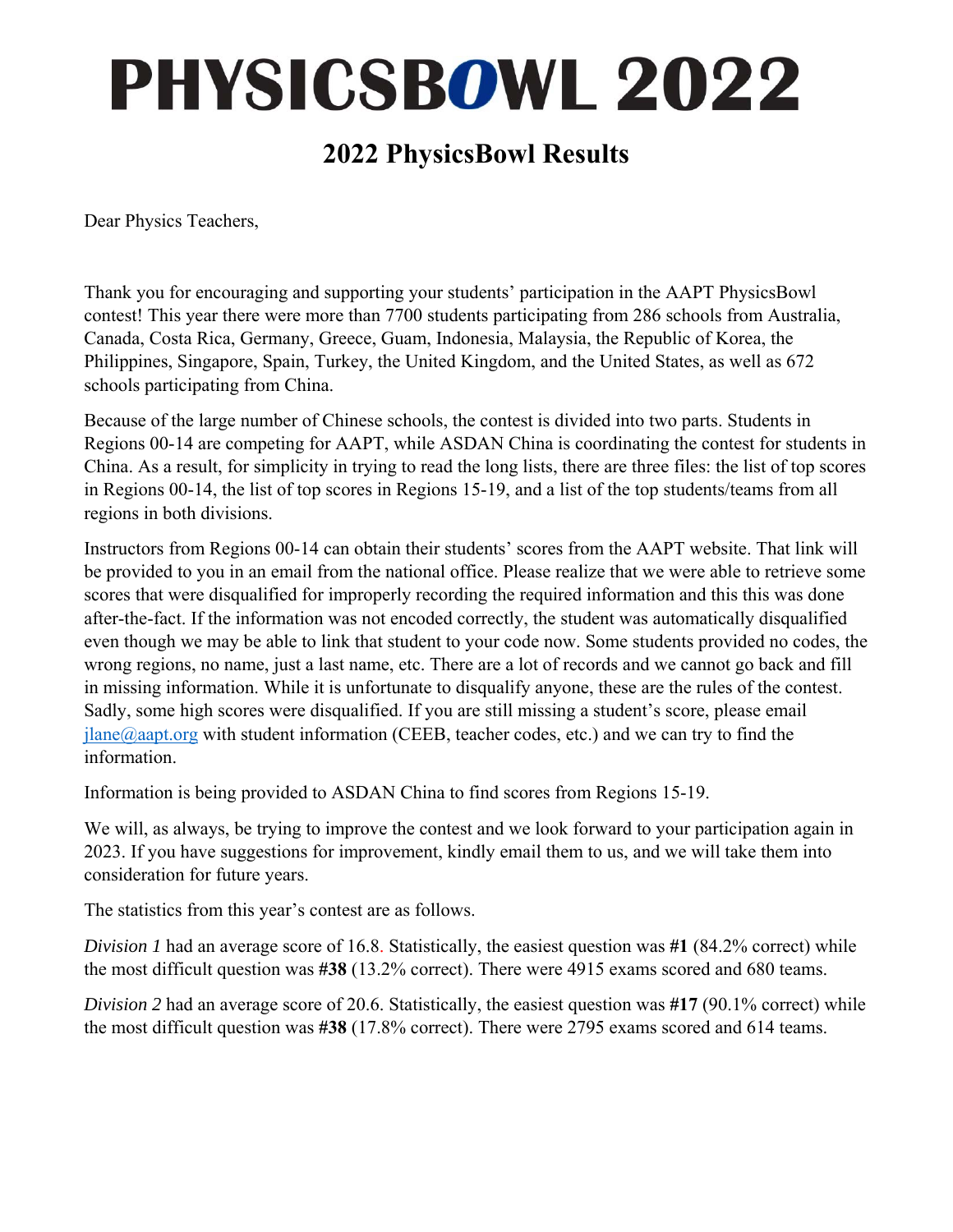## **PHYSICSBOWL 2022**

#### **2022 PhysicsBowl Results**

Dear Physics Teachers,

Thank you for encouraging and supporting your students' participation in the AAPT PhysicsBowl contest! This year there were more than 7700 students participating from 286 schools from Australia, Canada, Costa Rica, Germany, Greece, Guam, Indonesia, Malaysia, the Republic of Korea, the Philippines, Singapore, Spain, Turkey, the United Kingdom, and the United States, as well as 672 schools participating from China.

Because of the large number of Chinese schools, the contest is divided into two parts. Students in Regions 00-14 are competing for AAPT, while ASDAN China is coordinating the contest for students in China. As a result, for simplicity in trying to read the long lists, there are three files: the list of top scores in Regions 00-14, the list of top scores in Regions 15-19, and a list of the top students/teams from all regions in both divisions.

Instructors from Regions 00-14 can obtain their students' scores from the AAPT website. That link will be provided to you in an email from the national office. Please realize that we were able to retrieve some scores that were disqualified for improperly recording the required information and this this was done after-the-fact. If the information was not encoded correctly, the student was automatically disqualified even though we may be able to link that student to your code now. Some students provided no codes, the wrong regions, no name, just a last name, etc. There are a lot of records and we cannot go back and fill in missing information. While it is unfortunate to disqualify anyone, these are the rules of the contest. Sadly, some high scores were disqualified. If you are still missing a student's score, please email  $plane@aapt.org$  with student information (CEEB, teacher codes, etc.) and we can try to find the information.

Information is being provided to ASDAN China to find scores from Regions 15-19.

We will, as always, be trying to improve the contest and we look forward to your participation again in 2023. If you have suggestions for improvement, kindly email them to us, and we will take them into consideration for future years.

The statistics from this year's contest are as follows.

*Division 1* had an average score of 16.8. Statistically, the easiest question was **#1** (84.2% correct) while the most difficult question was **#38** (13.2% correct). There were 4915 exams scored and 680 teams.

*Division 2* had an average score of 20.6. Statistically, the easiest question was **#17** (90.1% correct) while the most difficult question was **#38** (17.8% correct). There were 2795 exams scored and 614 teams.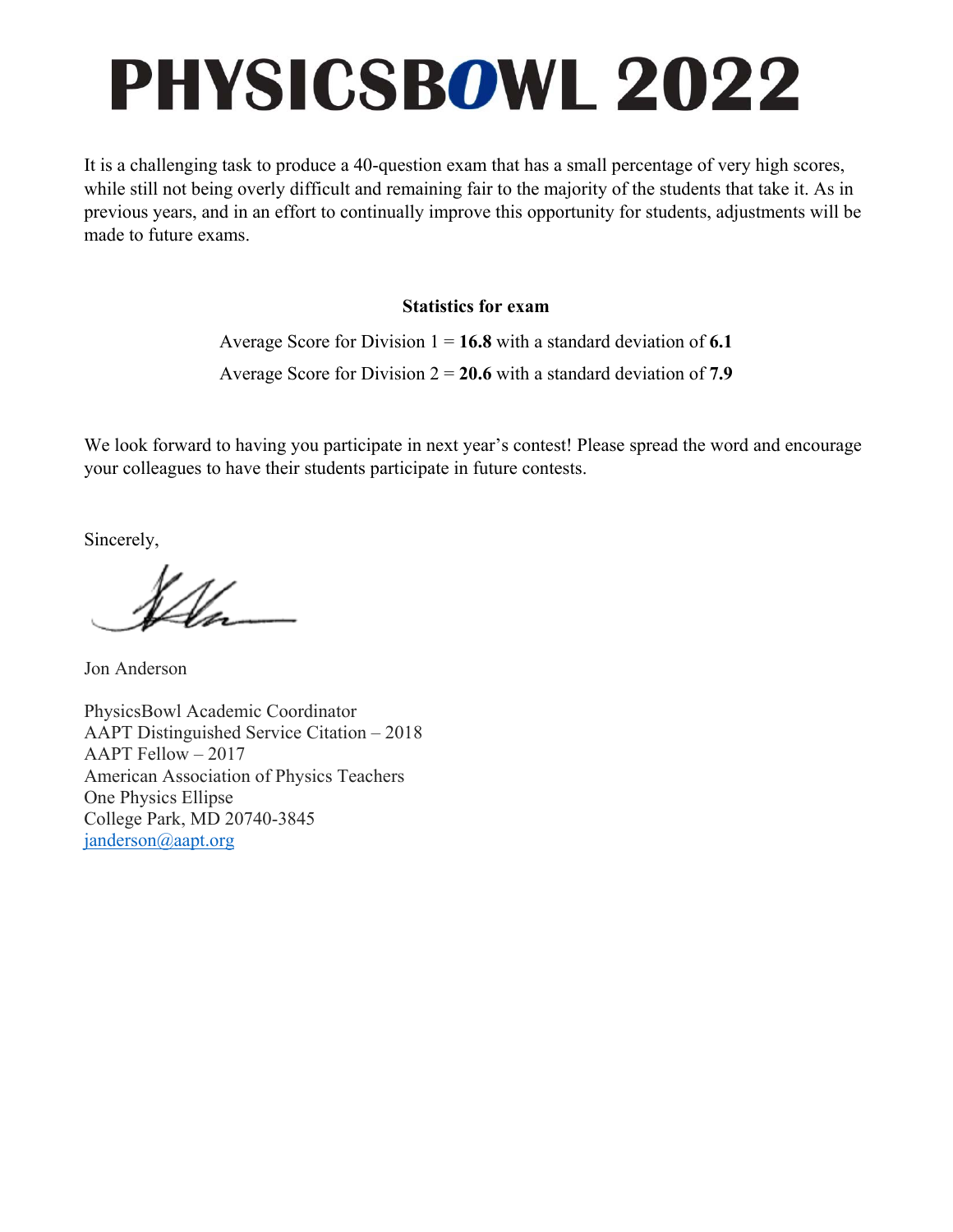# **PHYSICSBOWL 2022**

It is a challenging task to produce a 40-question exam that has a small percentage of very high scores, while still not being overly difficult and remaining fair to the majority of the students that take it. As in previous years, and in an effort to continually improve this opportunity for students, adjustments will be made to future exams.

#### **Statistics for exam**

Average Score for Division 1 = **16.8** with a standard deviation of **6.1** Average Score for Division 2 = **20.6** with a standard deviation of **7.9** 

We look forward to having you participate in next year's contest! Please spread the word and encourage your colleagues to have their students participate in future contests.

Sincerely,

Jon Anderson

PhysicsBowl Academic Coordinator AAPT Distinguished Service Citation – 2018 AAPT Fellow – 2017 American Association of Physics Teachers One Physics Ellipse College Park, MD 20740-3845 janderson@aapt.org